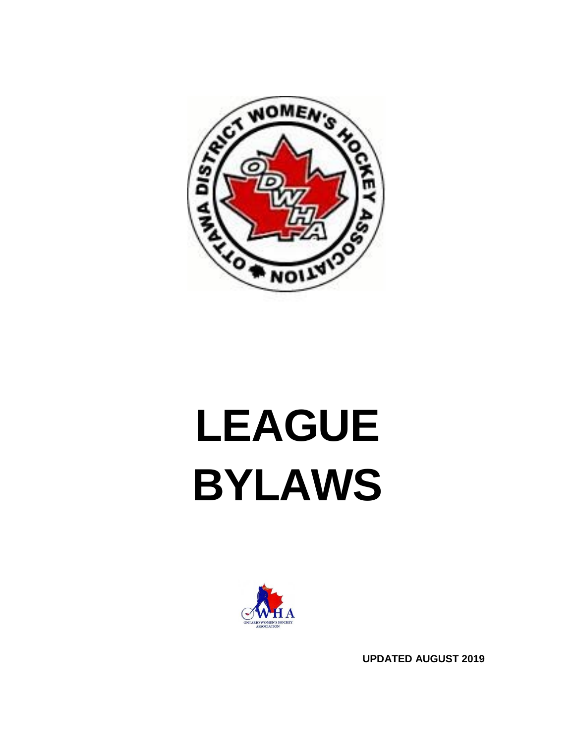

# **LEAGUE BYLAWS**



**UPDATED AUGUST 2019**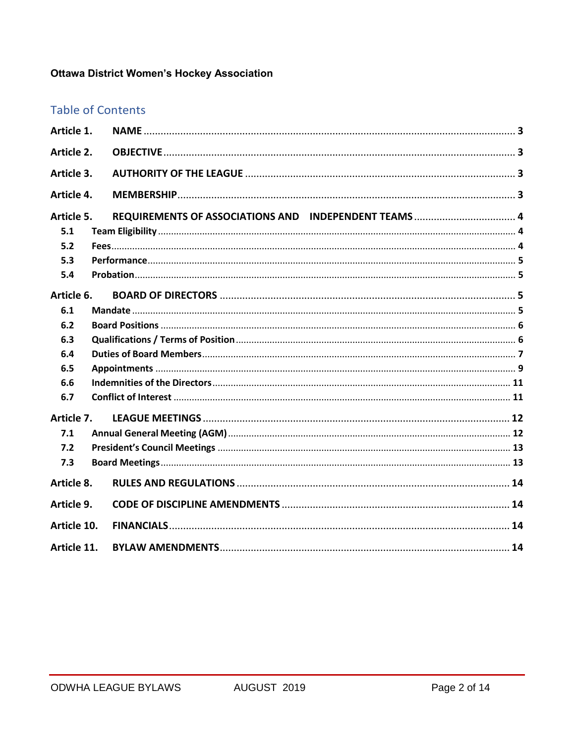## **Ottawa District Women's Hockey Association**

## **Table of Contents**

| Article 1.  |  |
|-------------|--|
| Article 2.  |  |
| Article 3.  |  |
| Article 4.  |  |
| Article 5.  |  |
| 5.1         |  |
| 5.2         |  |
| 5.3         |  |
| 5.4         |  |
| Article 6.  |  |
| 6.1         |  |
| 6.2         |  |
| 6.3         |  |
| 6.4         |  |
| 6.5         |  |
| 6.6         |  |
| 6.7         |  |
| Article 7.  |  |
| 7.1         |  |
| 7.2         |  |
| 7.3         |  |
| Article 8.  |  |
| Article 9.  |  |
| Article 10. |  |
| Article 11. |  |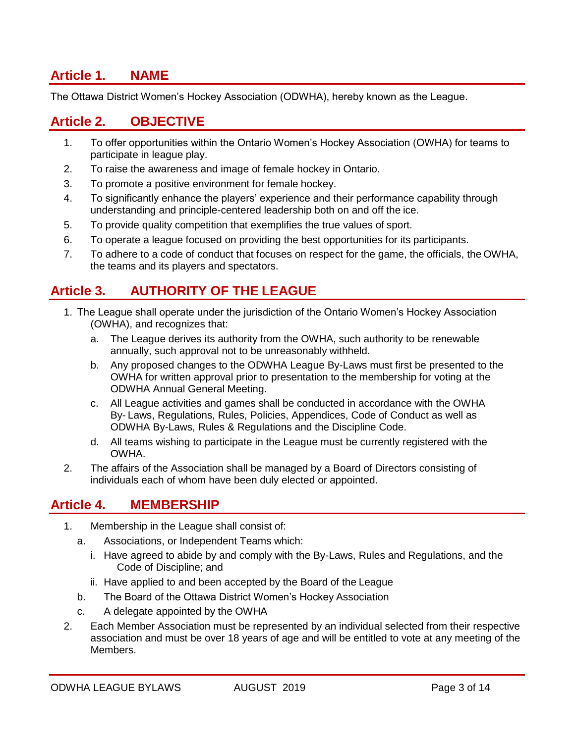# <span id="page-2-0"></span>**Article 1. NAME**

The Ottawa District Women's Hockey Association (ODWHA), hereby known as the League.

#### <span id="page-2-1"></span>**Article 2. OBJECTIVE**

- 1. To offer opportunities within the Ontario Women's Hockey Association (OWHA) for teams to participate in league play.
- 2. To raise the awareness and image of female hockey in Ontario.
- 3. To promote a positive environment for female hockey.
- 4. To significantly enhance the players' experience and their performance capability through understanding and principle-centered leadership both on and off the ice.
- 5. To provide quality competition that exemplifies the true values of sport.
- 6. To operate a league focused on providing the best opportunities for its participants.
- 7. To adhere to a code of conduct that focuses on respect for the game, the officials, the OWHA, the teams and its players and spectators.

# <span id="page-2-2"></span>**Article 3. AUTHORITY OF THE LEAGUE**

- 1. The League shall operate under the jurisdiction of the Ontario Women's Hockey Association (OWHA), and recognizes that:
	- a. The League derives its authority from the OWHA, such authority to be renewable annually, such approval not to be unreasonably withheld.
	- b. Any proposed changes to the ODWHA League By-Laws must first be presented to the OWHA for written approval prior to presentation to the membership for voting at the ODWHA Annual General Meeting.
	- c. All League activities and games shall be conducted in accordance with the OWHA By- Laws, Regulations, Rules, Policies, Appendices, Code of Conduct as well as ODWHA By-Laws, Rules & Regulations and the Discipline Code.
	- d. All teams wishing to participate in the League must be currently registered with the OWHA.
- 2. The affairs of the Association shall be managed by a Board of Directors consisting of individuals each of whom have been duly elected or appointed.

#### <span id="page-2-3"></span>**Article 4. MEMBERSHIP**

- 1. Membership in the League shall consist of:
	- a. Associations, or Independent Teams which:
		- i. Have agreed to abide by and comply with the By-Laws, Rules and Regulations, and the Code of Discipline; and
		- ii. Have applied to and been accepted by the Board of the League
	- b. The Board of the Ottawa District Women's Hockey Association
	- c. A delegate appointed by the OWHA
- 2. Each Member Association must be represented by an individual selected from their respective association and must be over 18 years of age and will be entitled to vote at any meeting of the Members.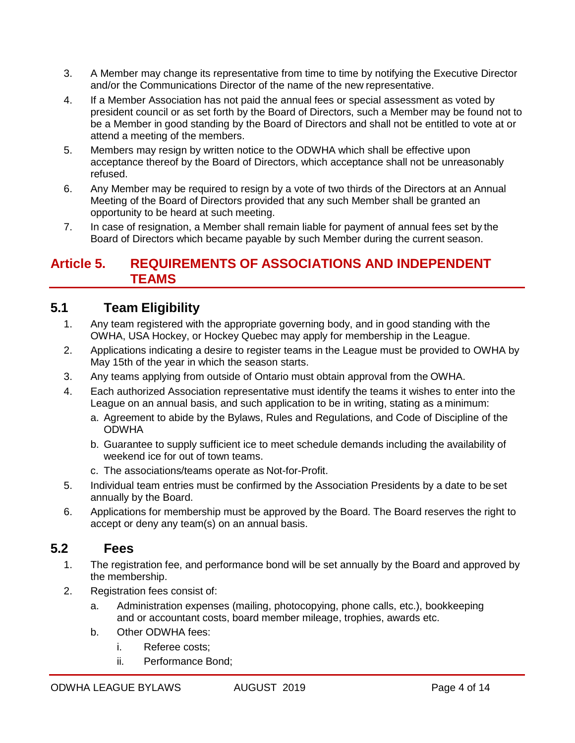- 3. A Member may change its representative from time to time by notifying the Executive Director and/or the Communications Director of the name of the new representative.
- 4. If a Member Association has not paid the annual fees or special assessment as voted by president council or as set forth by the Board of Directors, such a Member may be found not to be a Member in good standing by the Board of Directors and shall not be entitled to vote at or attend a meeting of the members.
- 5. Members may resign by written notice to the ODWHA which shall be effective upon acceptance thereof by the Board of Directors, which acceptance shall not be unreasonably refused.
- 6. Any Member may be required to resign by a vote of two thirds of the Directors at an Annual Meeting of the Board of Directors provided that any such Member shall be granted an opportunity to be heard at such meeting.
- 7. In case of resignation, a Member shall remain liable for payment of annual fees set by the Board of Directors which became payable by such Member during the current season.

#### <span id="page-3-0"></span>**Article 5. REQUIREMENTS OF ASSOCIATIONS AND INDEPENDENT TEAMS**

## **5.1 Team Eligibility**

- 1. Any team registered with the appropriate governing body, and in good standing with the OWHA, USA Hockey, or Hockey Quebec may apply for membership in the League.
- 2. Applications indicating a desire to register teams in the League must be provided to OWHA by May 15th of the year in which the season starts.
- 3. Any teams applying from outside of Ontario must obtain approval from the OWHA.
- 4. Each authorized Association representative must identify the teams it wishes to enter into the League on an annual basis, and such application to be in writing, stating as a minimum:
	- a. Agreement to abide by the Bylaws, Rules and Regulations, and Code of Discipline of the ODWHA
	- b. Guarantee to supply sufficient ice to meet schedule demands including the availability of weekend ice for out of town teams.
	- c. The associations/teams operate as Not-for-Profit.
- 5. Individual team entries must be confirmed by the Association Presidents by a date to be set annually by the Board.
- 6. Applications for membership must be approved by the Board. The Board reserves the right to accept or deny any team(s) on an annual basis.

#### **5.2 Fees**

- 1. The registration fee, and performance bond will be set annually by the Board and approved by the membership.
- 2. Registration fees consist of:
	- a. Administration expenses (mailing, photocopying, phone calls, etc.), bookkeeping and or accountant costs, board member mileage, trophies, awards etc.
	- b. Other ODWHA fees:
		- i. Referee costs;
		- ii. Performance Bond;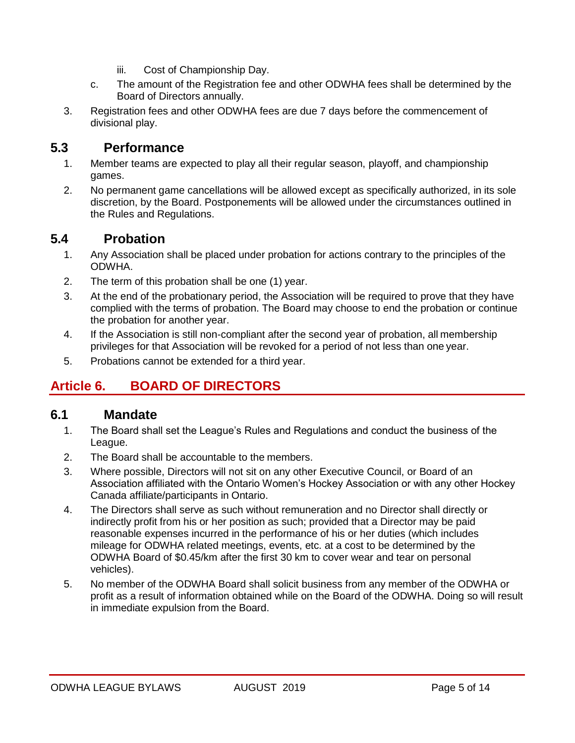- iii. Cost of Championship Day.
- c. The amount of the Registration fee and other ODWHA fees shall be determined by the Board of Directors annually.
- 3. Registration fees and other ODWHA fees are due 7 days before the commencement of divisional play.

#### **5.3 Performance**

- 1. Member teams are expected to play all their regular season, playoff, and championship games.
- 2. No permanent game cancellations will be allowed except as specifically authorized, in its sole discretion, by the Board. Postponements will be allowed under the circumstances outlined in the Rules and Regulations.

#### **5.4 Probation**

- 1. Any Association shall be placed under probation for actions contrary to the principles of the ODWHA.
- 2. The term of this probation shall be one (1) year.
- 3. At the end of the probationary period, the Association will be required to prove that they have complied with the terms of probation. The Board may choose to end the probation or continue the probation for another year.
- 4. If the Association is still non-compliant after the second year of probation, all membership privileges for that Association will be revoked for a period of not less than one year.
- 5. Probations cannot be extended for a third year.

# <span id="page-4-0"></span>**Article 6. BOARD OF DIRECTORS**

#### **6.1 Mandate**

- 1. The Board shall set the League's Rules and Regulations and conduct the business of the League.
- 2. The Board shall be accountable to the members.
- 3. Where possible, Directors will not sit on any other Executive Council, or Board of an Association affiliated with the Ontario Women's Hockey Association or with any other Hockey Canada affiliate/participants in Ontario.
- 4. The Directors shall serve as such without remuneration and no Director shall directly or indirectly profit from his or her position as such; provided that a Director may be paid reasonable expenses incurred in the performance of his or her duties (which includes mileage for ODWHA related meetings, events, etc. at a cost to be determined by the ODWHA Board of \$0.45/km after the first 30 km to cover wear and tear on personal vehicles).
- 5. No member of the ODWHA Board shall solicit business from any member of the ODWHA or profit as a result of information obtained while on the Board of the ODWHA. Doing so will result in immediate expulsion from the Board.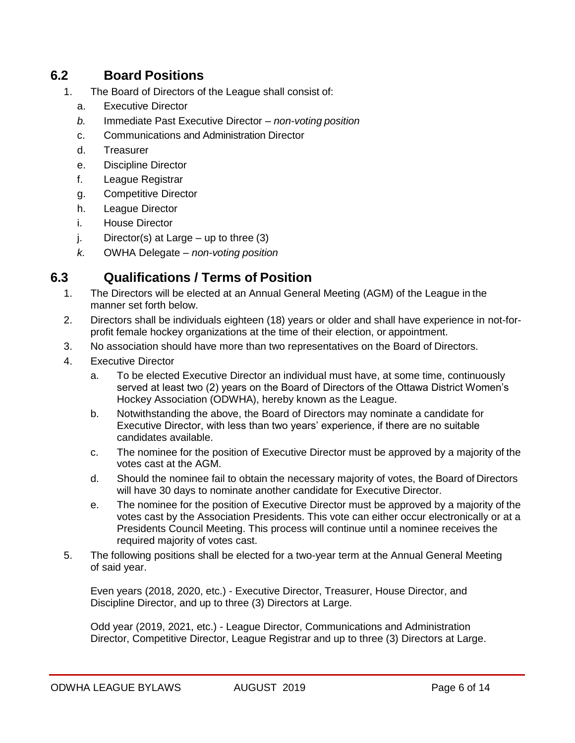## **6.2 Board Positions**

- 1. The Board of Directors of the League shall consist of:
	- a. Executive Director
	- *b.* Immediate Past Executive Director *non-voting position*
	- c. Communications and Administration Director
	- d. Treasurer
	- e. Discipline Director
	- f. League Registrar
	- g. Competitive Director
	- h. League Director
	- i. House Director
	- $i.$  Director(s) at Large up to three (3)
	- *k.* OWHA Delegate *non-voting position*

## **6.3 Qualifications / Terms of Position**

- 1. The Directors will be elected at an Annual General Meeting (AGM) of the League in the manner set forth below.
- 2. Directors shall be individuals eighteen (18) years or older and shall have experience in not-forprofit female hockey organizations at the time of their election, or appointment.
- 3. No association should have more than two representatives on the Board of Directors.
- 4. Executive Director
	- a. To be elected Executive Director an individual must have, at some time, continuously served at least two (2) years on the Board of Directors of the Ottawa District Women's Hockey Association (ODWHA), hereby known as the League.
	- b. Notwithstanding the above, the Board of Directors may nominate a candidate for Executive Director, with less than two years' experience, if there are no suitable candidates available.
	- c. The nominee for the position of Executive Director must be approved by a majority of the votes cast at the AGM.
	- d. Should the nominee fail to obtain the necessary majority of votes, the Board of Directors will have 30 days to nominate another candidate for Executive Director.
	- e. The nominee for the position of Executive Director must be approved by a majority of the votes cast by the Association Presidents. This vote can either occur electronically or at a Presidents Council Meeting. This process will continue until a nominee receives the required majority of votes cast.
- 5. The following positions shall be elected for a two-year term at the Annual General Meeting of said year.

Even years (2018, 2020, etc.) - Executive Director, Treasurer, House Director, and Discipline Director, and up to three (3) Directors at Large.

Odd year (2019, 2021, etc.) - League Director, Communications and Administration Director, Competitive Director, League Registrar and up to three (3) Directors at Large.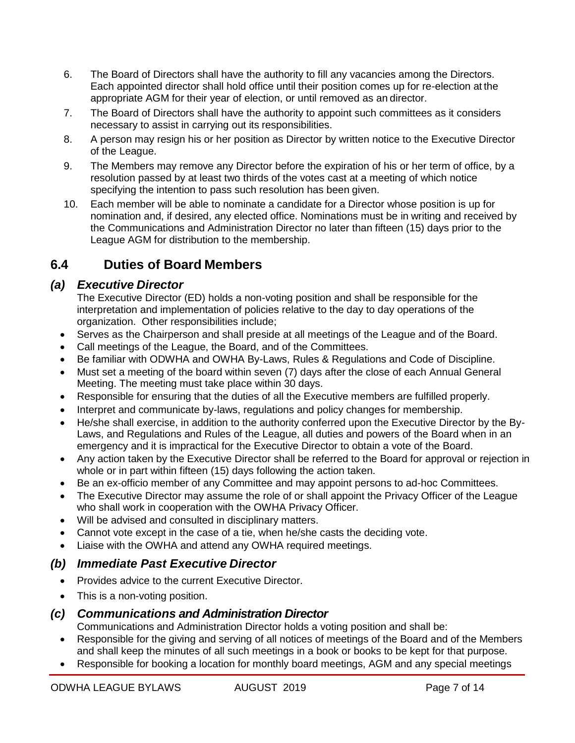- 6. The Board of Directors shall have the authority to fill any vacancies among the Directors. Each appointed director shall hold office until their position comes up for re-election at the appropriate AGM for their year of election, or until removed as an director.
- 7. The Board of Directors shall have the authority to appoint such committees as it considers necessary to assist in carrying out its responsibilities.
- 8. A person may resign his or her position as Director by written notice to the Executive Director of the League.
- 9. The Members may remove any Director before the expiration of his or her term of office, by a resolution passed by at least two thirds of the votes cast at a meeting of which notice specifying the intention to pass such resolution has been given.
- 10. Each member will be able to nominate a candidate for a Director whose position is up for nomination and, if desired, any elected office. Nominations must be in writing and received by the Communications and Administration Director no later than fifteen (15) days prior to the League AGM for distribution to the membership.

# **6.4 Duties of Board Members**

#### *(a) Executive Director*

The Executive Director (ED) holds a non-voting position and shall be responsible for the interpretation and implementation of policies relative to the day to day operations of the organization. Other responsibilities include;

- Serves as the Chairperson and shall preside at all meetings of the League and of the Board.
- Call meetings of the League, the Board, and of the Committees.
- Be familiar with ODWHA and OWHA By-Laws, Rules & Regulations and Code of Discipline.
- Must set a meeting of the board within seven (7) days after the close of each Annual General Meeting. The meeting must take place within 30 days.
- Responsible for ensuring that the duties of all the Executive members are fulfilled properly.
- Interpret and communicate by-laws, regulations and policy changes for membership.
- He/she shall exercise, in addition to the authority conferred upon the Executive Director by the By-Laws, and Regulations and Rules of the League, all duties and powers of the Board when in an emergency and it is impractical for the Executive Director to obtain a vote of the Board.
- Any action taken by the Executive Director shall be referred to the Board for approval or rejection in whole or in part within fifteen (15) days following the action taken.
- Be an ex-officio member of any Committee and may appoint persons to ad-hoc Committees.
- The Executive Director may assume the role of or shall appoint the Privacy Officer of the League who shall work in cooperation with the OWHA Privacy Officer.
- Will be advised and consulted in disciplinary matters.
- Cannot vote except in the case of a tie, when he/she casts the deciding vote.
- Liaise with the OWHA and attend any OWHA required meetings.

## *(b) Immediate Past Executive Director*

- Provides advice to the current Executive Director.
- This is a non-voting position.

#### *(c) Communications and Administration Director*

Communications and Administration Director holds a voting position and shall be:

- Responsible for the giving and serving of all notices of meetings of the Board and of the Members and shall keep the minutes of all such meetings in a book or books to be kept for that purpose.
- Responsible for booking a location for monthly board meetings, AGM and any special meetings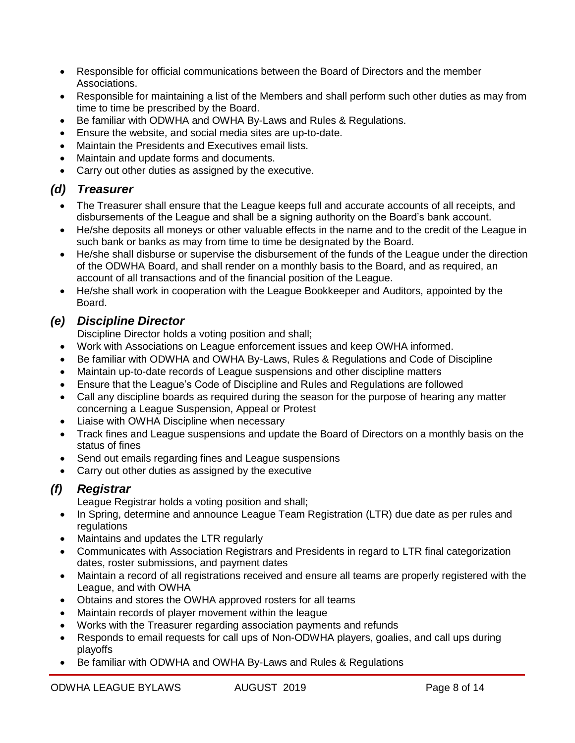- Responsible for official communications between the Board of Directors and the member Associations.
- Responsible for maintaining a list of the Members and shall perform such other duties as may from time to time be prescribed by the Board.
- Be familiar with ODWHA and OWHA By-Laws and Rules & Regulations.
- Ensure the website, and social media sites are up-to-date.
- Maintain the Presidents and Executives email lists.
- Maintain and update forms and documents.
- Carry out other duties as assigned by the executive.

## *(d) Treasurer*

- The Treasurer shall ensure that the League keeps full and accurate accounts of all receipts, and disbursements of the League and shall be a signing authority on the Board's bank account.
- He/she deposits all moneys or other valuable effects in the name and to the credit of the League in such bank or banks as may from time to time be designated by the Board.
- He/she shall disburse or supervise the disbursement of the funds of the League under the direction of the ODWHA Board, and shall render on a monthly basis to the Board, and as required, an account of all transactions and of the financial position of the League.
- He/she shall work in cooperation with the League Bookkeeper and Auditors, appointed by the Board.

## *(e) Discipline Director*

Discipline Director holds a voting position and shall;

- Work with Associations on League enforcement issues and keep OWHA informed.
- Be familiar with ODWHA and OWHA By-Laws, Rules & Regulations and Code of Discipline
- Maintain up-to-date records of League suspensions and other discipline matters
- Ensure that the League's Code of Discipline and Rules and Regulations are followed
- Call any discipline boards as required during the season for the purpose of hearing any matter concerning a League Suspension, Appeal or Protest
- Liaise with OWHA Discipline when necessary
- Track fines and League suspensions and update the Board of Directors on a monthly basis on the status of fines
- Send out emails regarding fines and League suspensions
- Carry out other duties as assigned by the executive

## *(f) Registrar*

League Registrar holds a voting position and shall;

- In Spring, determine and announce League Team Registration (LTR) due date as per rules and regulations
- Maintains and updates the LTR regularly
- Communicates with Association Registrars and Presidents in regard to LTR final categorization dates, roster submissions, and payment dates
- Maintain a record of all registrations received and ensure all teams are properly registered with the League, and with OWHA
- Obtains and stores the OWHA approved rosters for all teams
- Maintain records of player movement within the league
- Works with the Treasurer regarding association payments and refunds
- Responds to email requests for call ups of Non-ODWHA players, goalies, and call ups during playoffs
- Be familiar with ODWHA and OWHA By-Laws and Rules & Regulations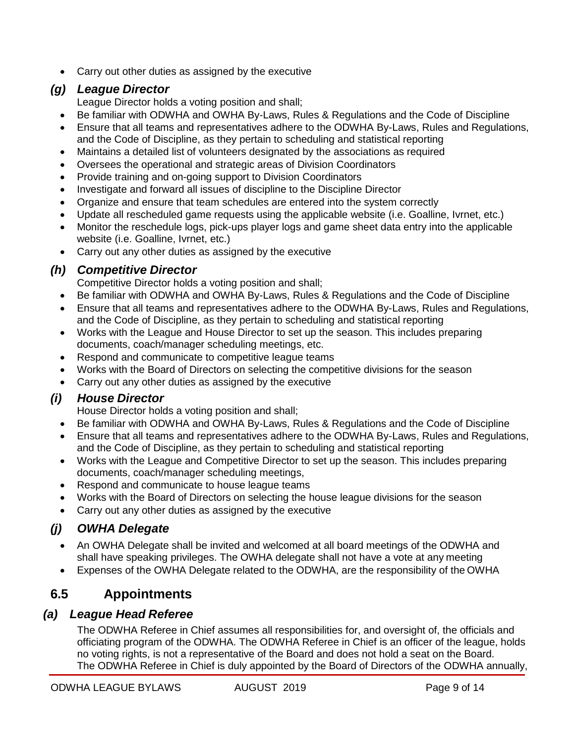• Carry out other duties as assigned by the executive

#### *(g) League Director*

League Director holds a voting position and shall;

- Be familiar with ODWHA and OWHA By-Laws, Rules & Regulations and the Code of Discipline
- Ensure that all teams and representatives adhere to the ODWHA By-Laws, Rules and Regulations, and the Code of Discipline, as they pertain to scheduling and statistical reporting
- Maintains a detailed list of volunteers designated by the associations as required
- Oversees the operational and strategic areas of Division Coordinators
- Provide training and on-going support to Division Coordinators
- Investigate and forward all issues of discipline to the Discipline Director
- Organize and ensure that team schedules are entered into the system correctly
- Update all rescheduled game requests using the applicable website (i.e. Goalline, Ivrnet, etc.)
- Monitor the reschedule logs, pick-ups player logs and game sheet data entry into the applicable website (i.e. Goalline, Ivrnet, etc.)
- Carry out any other duties as assigned by the executive

#### *(h) Competitive Director*

Competitive Director holds a voting position and shall;

- Be familiar with ODWHA and OWHA By-Laws, Rules & Regulations and the Code of Discipline
- Ensure that all teams and representatives adhere to the ODWHA By-Laws, Rules and Regulations, and the Code of Discipline, as they pertain to scheduling and statistical reporting
- Works with the League and House Director to set up the season. This includes preparing documents, coach/manager scheduling meetings, etc.
- Respond and communicate to competitive league teams
- Works with the Board of Directors on selecting the competitive divisions for the season
- Carry out any other duties as assigned by the executive

#### *(i) House Director*

House Director holds a voting position and shall;

- Be familiar with ODWHA and OWHA By-Laws, Rules & Regulations and the Code of Discipline
- Ensure that all teams and representatives adhere to the ODWHA By-Laws, Rules and Regulations, and the Code of Discipline, as they pertain to scheduling and statistical reporting
- Works with the League and Competitive Director to set up the season. This includes preparing documents, coach/manager scheduling meetings,
- Respond and communicate to house league teams
- Works with the Board of Directors on selecting the house league divisions for the season
- Carry out any other duties as assigned by the executive

## *(j) OWHA Delegate*

- An OWHA Delegate shall be invited and welcomed at all board meetings of the ODWHA and shall have speaking privileges. The OWHA delegate shall not have a vote at any meeting
- Expenses of the OWHA Delegate related to the ODWHA, are the responsibility of the OWHA

# **6.5 Appointments**

#### *(a) League Head Referee*

The ODWHA Referee in Chief assumes all responsibilities for, and oversight of, the officials and officiating program of the ODWHA. The ODWHA Referee in Chief is an officer of the league, holds no voting rights, is not a representative of the Board and does not hold a seat on the Board. The ODWHA Referee in Chief is duly appointed by the Board of Directors of the ODWHA annually,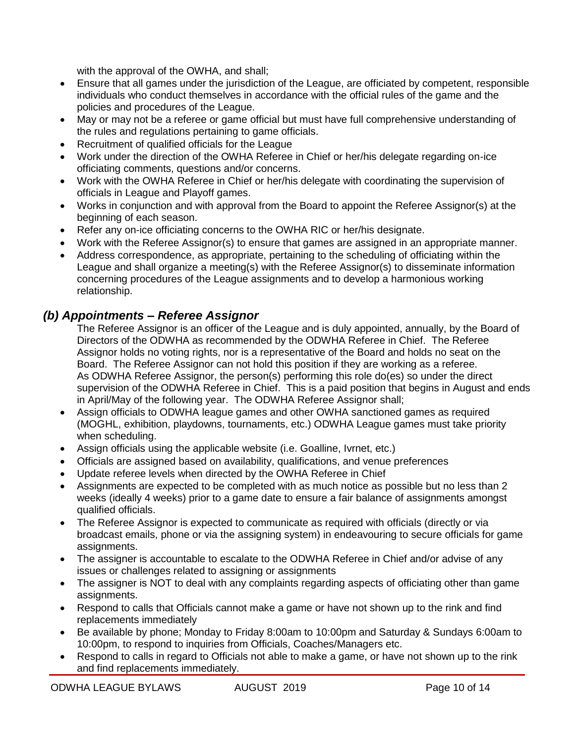with the approval of the OWHA, and shall;

- Ensure that all games under the jurisdiction of the League, are officiated by competent, responsible individuals who conduct themselves in accordance with the official rules of the game and the policies and procedures of the League.
- May or may not be a referee or game official but must have full comprehensive understanding of the rules and regulations pertaining to game officials.
- Recruitment of qualified officials for the League
- Work under the direction of the OWHA Referee in Chief or her/his delegate regarding on-ice officiating comments, questions and/or concerns.
- Work with the OWHA Referee in Chief or her/his delegate with coordinating the supervision of officials in League and Playoff games.
- Works in conjunction and with approval from the Board to appoint the Referee Assignor(s) at the beginning of each season.
- Refer any on-ice officiating concerns to the OWHA RIC or her/his designate.
- Work with the Referee Assignor(s) to ensure that games are assigned in an appropriate manner.
- Address correspondence, as appropriate, pertaining to the scheduling of officiating within the League and shall organize a meeting(s) with the Referee Assignor(s) to disseminate information concerning procedures of the League assignments and to develop a harmonious working relationship.

#### *(b) Appointments – Referee Assignor*

The Referee Assignor is an officer of the League and is duly appointed, annually, by the Board of Directors of the ODWHA as recommended by the ODWHA Referee in Chief. The Referee Assignor holds no voting rights, nor is a representative of the Board and holds no seat on the Board. The Referee Assignor can not hold this position if they are working as a referee. As ODWHA Referee Assignor, the person(s) performing this role do(es) so under the direct supervision of the ODWHA Referee in Chief. This is a paid position that begins in August and ends in April/May of the following year. The ODWHA Referee Assignor shall;

- Assign officials to ODWHA league games and other OWHA sanctioned games as required (MOGHL, exhibition, playdowns, tournaments, etc.) ODWHA League games must take priority when scheduling.
- Assign officials using the applicable website (i.e. Goalline, Ivrnet, etc.)
- Officials are assigned based on availability, qualifications, and venue preferences
- Update referee levels when directed by the OWHA Referee in Chief
- Assignments are expected to be completed with as much notice as possible but no less than 2 weeks (ideally 4 weeks) prior to a game date to ensure a fair balance of assignments amongst qualified officials.
- The Referee Assignor is expected to communicate as required with officials (directly or via broadcast emails, phone or via the assigning system) in endeavouring to secure officials for game assignments.
- The assigner is accountable to escalate to the ODWHA Referee in Chief and/or advise of any issues or challenges related to assigning or assignments
- The assigner is NOT to deal with any complaints regarding aspects of officiating other than game assignments.
- Respond to calls that Officials cannot make a game or have not shown up to the rink and find replacements immediately
- Be available by phone; Monday to Friday 8:00am to 10:00pm and Saturday & Sundays 6:00am to 10:00pm, to respond to inquiries from Officials, Coaches/Managers etc.
- Respond to calls in regard to Officials not able to make a game, or have not shown up to the rink and find replacements immediately.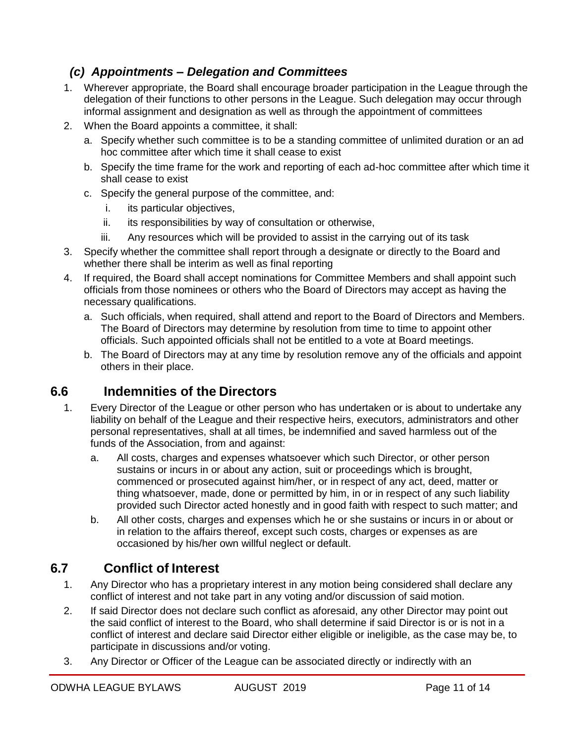## *(c) Appointments – Delegation and Committees*

- 1. Wherever appropriate, the Board shall encourage broader participation in the League through the delegation of their functions to other persons in the League. Such delegation may occur through informal assignment and designation as well as through the appointment of committees
- 2. When the Board appoints a committee, it shall:
	- a. Specify whether such committee is to be a standing committee of unlimited duration or an ad hoc committee after which time it shall cease to exist
	- b. Specify the time frame for the work and reporting of each ad-hoc committee after which time it shall cease to exist
	- c. Specify the general purpose of the committee, and:
		- i. its particular objectives,
		- ii. its responsibilities by way of consultation or otherwise,
		- iii. Any resources which will be provided to assist in the carrying out of its task
- 3. Specify whether the committee shall report through a designate or directly to the Board and whether there shall be interim as well as final reporting
- 4. If required, the Board shall accept nominations for Committee Members and shall appoint such officials from those nominees or others who the Board of Directors may accept as having the necessary qualifications.
	- a. Such officials, when required, shall attend and report to the Board of Directors and Members. The Board of Directors may determine by resolution from time to time to appoint other officials. Such appointed officials shall not be entitled to a vote at Board meetings.
	- b. The Board of Directors may at any time by resolution remove any of the officials and appoint others in their place.

# **6.6 Indemnities of the Directors**

- 1. Every Director of the League or other person who has undertaken or is about to undertake any liability on behalf of the League and their respective heirs, executors, administrators and other personal representatives, shall at all times, be indemnified and saved harmless out of the funds of the Association, from and against:
	- a. All costs, charges and expenses whatsoever which such Director, or other person sustains or incurs in or about any action, suit or proceedings which is brought, commenced or prosecuted against him/her, or in respect of any act, deed, matter or thing whatsoever, made, done or permitted by him, in or in respect of any such liability provided such Director acted honestly and in good faith with respect to such matter; and
	- b. All other costs, charges and expenses which he or she sustains or incurs in or about or in relation to the affairs thereof, except such costs, charges or expenses as are occasioned by his/her own willful neglect or default.

# **6.7 Conflict of Interest**

- 1. Any Director who has a proprietary interest in any motion being considered shall declare any conflict of interest and not take part in any voting and/or discussion of said motion.
- 2. If said Director does not declare such conflict as aforesaid, any other Director may point out the said conflict of interest to the Board, who shall determine if said Director is or is not in a conflict of interest and declare said Director either eligible or ineligible, as the case may be, to participate in discussions and/or voting.
- 3. Any Director or Officer of the League can be associated directly or indirectly with an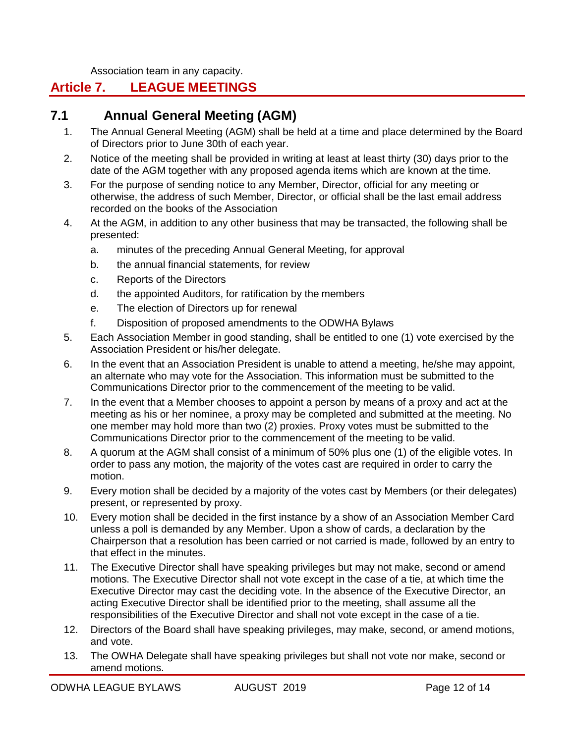Association team in any capacity.

## <span id="page-11-0"></span>**Article 7. LEAGUE MEETINGS**

## **7.1 Annual General Meeting (AGM)**

- 1. The Annual General Meeting (AGM) shall be held at a time and place determined by the Board of Directors prior to June 30th of each year.
- 2. Notice of the meeting shall be provided in writing at least at least thirty (30) days prior to the date of the AGM together with any proposed agenda items which are known at the time.
- 3. For the purpose of sending notice to any Member, Director, official for any meeting or otherwise, the address of such Member, Director, or official shall be the last email address recorded on the books of the Association
- 4. At the AGM, in addition to any other business that may be transacted, the following shall be presented:
	- a. minutes of the preceding Annual General Meeting, for approval
	- b. the annual financial statements, for review
	- c. Reports of the Directors
	- d. the appointed Auditors, for ratification by the members
	- e. The election of Directors up for renewal
	- f. Disposition of proposed amendments to the ODWHA Bylaws
- 5. Each Association Member in good standing, shall be entitled to one (1) vote exercised by the Association President or his/her delegate.
- 6. In the event that an Association President is unable to attend a meeting, he/she may appoint, an alternate who may vote for the Association. This information must be submitted to the Communications Director prior to the commencement of the meeting to be valid.
- 7. In the event that a Member chooses to appoint a person by means of a proxy and act at the meeting as his or her nominee, a proxy may be completed and submitted at the meeting. No one member may hold more than two (2) proxies. Proxy votes must be submitted to the Communications Director prior to the commencement of the meeting to be valid.
- 8. A quorum at the AGM shall consist of a minimum of 50% plus one (1) of the eligible votes. In order to pass any motion, the majority of the votes cast are required in order to carry the motion.
- 9. Every motion shall be decided by a majority of the votes cast by Members (or their delegates) present, or represented by proxy.
- 10. Every motion shall be decided in the first instance by a show of an Association Member Card unless a poll is demanded by any Member. Upon a show of cards, a declaration by the Chairperson that a resolution has been carried or not carried is made, followed by an entry to that effect in the minutes.
- 11. The Executive Director shall have speaking privileges but may not make, second or amend motions. The Executive Director shall not vote except in the case of a tie, at which time the Executive Director may cast the deciding vote. In the absence of the Executive Director, an acting Executive Director shall be identified prior to the meeting, shall assume all the responsibilities of the Executive Director and shall not vote except in the case of a tie.
- 12. Directors of the Board shall have speaking privileges, may make, second, or amend motions, and vote.
- 13. The OWHA Delegate shall have speaking privileges but shall not vote nor make, second or amend motions.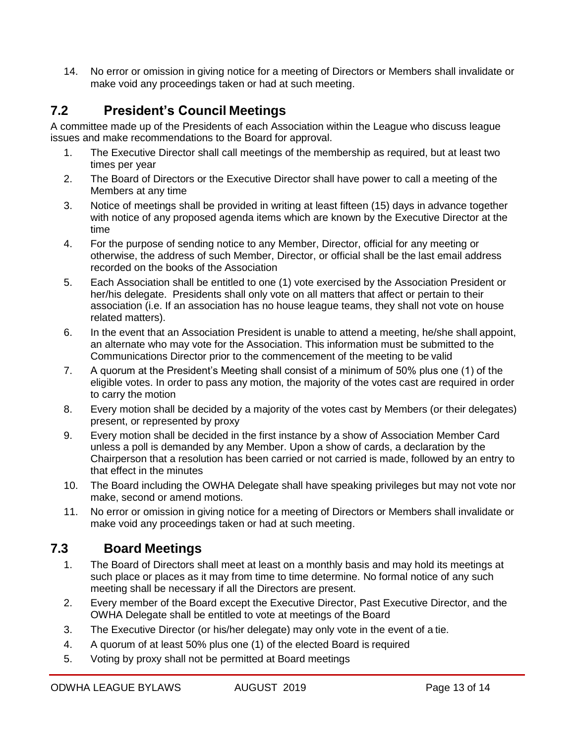14. No error or omission in giving notice for a meeting of Directors or Members shall invalidate or make void any proceedings taken or had at such meeting.

# **7.2 President's Council Meetings**

A committee made up of the Presidents of each Association within the League who discuss league issues and make recommendations to the Board for approval.

- 1. The Executive Director shall call meetings of the membership as required, but at least two times per year
- 2. The Board of Directors or the Executive Director shall have power to call a meeting of the Members at any time
- 3. Notice of meetings shall be provided in writing at least fifteen (15) days in advance together with notice of any proposed agenda items which are known by the Executive Director at the time
- 4. For the purpose of sending notice to any Member, Director, official for any meeting or otherwise, the address of such Member, Director, or official shall be the last email address recorded on the books of the Association
- 5. Each Association shall be entitled to one (1) vote exercised by the Association President or her/his delegate. Presidents shall only vote on all matters that affect or pertain to their association (i.e. If an association has no house league teams, they shall not vote on house related matters).
- 6. In the event that an Association President is unable to attend a meeting, he/she shall appoint, an alternate who may vote for the Association. This information must be submitted to the Communications Director prior to the commencement of the meeting to be valid
- 7. A quorum at the President's Meeting shall consist of a minimum of 50% plus one (1) of the eligible votes. In order to pass any motion, the majority of the votes cast are required in order to carry the motion
- 8. Every motion shall be decided by a majority of the votes cast by Members (or their delegates) present, or represented by proxy
- 9. Every motion shall be decided in the first instance by a show of Association Member Card unless a poll is demanded by any Member. Upon a show of cards, a declaration by the Chairperson that a resolution has been carried or not carried is made, followed by an entry to that effect in the minutes
- 10. The Board including the OWHA Delegate shall have speaking privileges but may not vote nor make, second or amend motions.
- 11. No error or omission in giving notice for a meeting of Directors or Members shall invalidate or make void any proceedings taken or had at such meeting.

# **7.3 Board Meetings**

- 1. The Board of Directors shall meet at least on a monthly basis and may hold its meetings at such place or places as it may from time to time determine. No formal notice of any such meeting shall be necessary if all the Directors are present.
- 2. Every member of the Board except the Executive Director, Past Executive Director, and the OWHA Delegate shall be entitled to vote at meetings of the Board
- 3. The Executive Director (or his/her delegate) may only vote in the event of a tie.
- 4. A quorum of at least 50% plus one (1) of the elected Board is required
- 5. Voting by proxy shall not be permitted at Board meetings